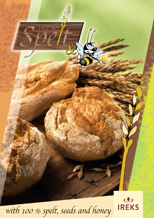